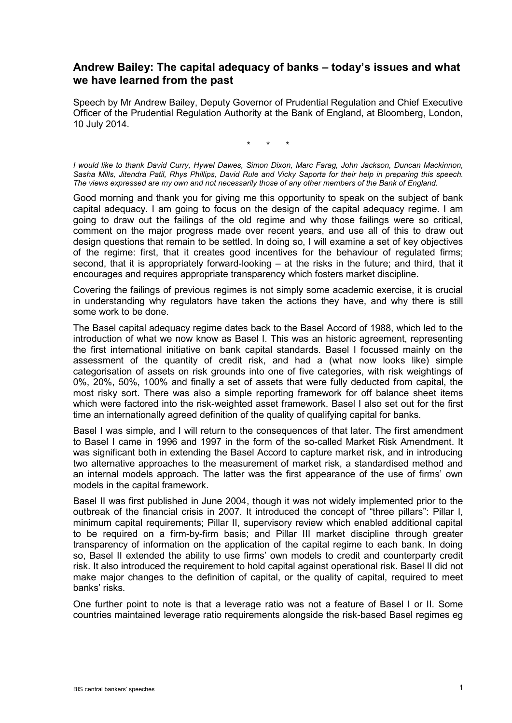## **Andrew Bailey: The capital adequacy of banks – today's issues and what we have learned from the past**

Speech by Mr Andrew Bailey, Deputy Governor of Prudential Regulation and Chief Executive Officer of the Prudential Regulation Authority at the Bank of England, at Bloomberg, London, 10 July 2014.

\* \* \*

*I would like to thank David Curry, Hywel Dawes, Simon Dixon, Marc Farag, John Jackson, Duncan Mackinnon, Sasha Mills, Jitendra Patil, Rhys Phillips, David Rule and Vicky Saporta for their help in preparing this speech. The views expressed are my own and not necessarily those of any other members of the Bank of England.*

Good morning and thank you for giving me this opportunity to speak on the subject of bank capital adequacy. I am going to focus on the design of the capital adequacy regime. I am going to draw out the failings of the old regime and why those failings were so critical, comment on the major progress made over recent years, and use all of this to draw out design questions that remain to be settled. In doing so, I will examine a set of key objectives of the regime: first, that it creates good incentives for the behaviour of regulated firms; second, that it is appropriately forward-looking – at the risks in the future; and third, that it encourages and requires appropriate transparency which fosters market discipline.

Covering the failings of previous regimes is not simply some academic exercise, it is crucial in understanding why regulators have taken the actions they have, and why there is still some work to be done.

The Basel capital adequacy regime dates back to the Basel Accord of 1988, which led to the introduction of what we now know as Basel I. This was an historic agreement, representing the first international initiative on bank capital standards. Basel I focussed mainly on the assessment of the quantity of credit risk, and had a (what now looks like) simple categorisation of assets on risk grounds into one of five categories, with risk weightings of 0%, 20%, 50%, 100% and finally a set of assets that were fully deducted from capital, the most risky sort. There was also a simple reporting framework for off balance sheet items which were factored into the risk-weighted asset framework. Basel I also set out for the first time an internationally agreed definition of the quality of qualifying capital for banks.

Basel I was simple, and I will return to the consequences of that later. The first amendment to Basel I came in 1996 and 1997 in the form of the so-called Market Risk Amendment. It was significant both in extending the Basel Accord to capture market risk, and in introducing two alternative approaches to the measurement of market risk, a standardised method and an internal models approach. The latter was the first appearance of the use of firms' own models in the capital framework.

Basel II was first published in June 2004, though it was not widely implemented prior to the outbreak of the financial crisis in 2007. It introduced the concept of "three pillars": Pillar I, minimum capital requirements; Pillar II, supervisory review which enabled additional capital to be required on a firm-by-firm basis; and Pillar III market discipline through greater transparency of information on the application of the capital regime to each bank. In doing so, Basel II extended the ability to use firms' own models to credit and counterparty credit risk. It also introduced the requirement to hold capital against operational risk. Basel II did not make major changes to the definition of capital, or the quality of capital, required to meet banks' risks.

One further point to note is that a leverage ratio was not a feature of Basel I or II. Some countries maintained leverage ratio requirements alongside the risk-based Basel regimes eg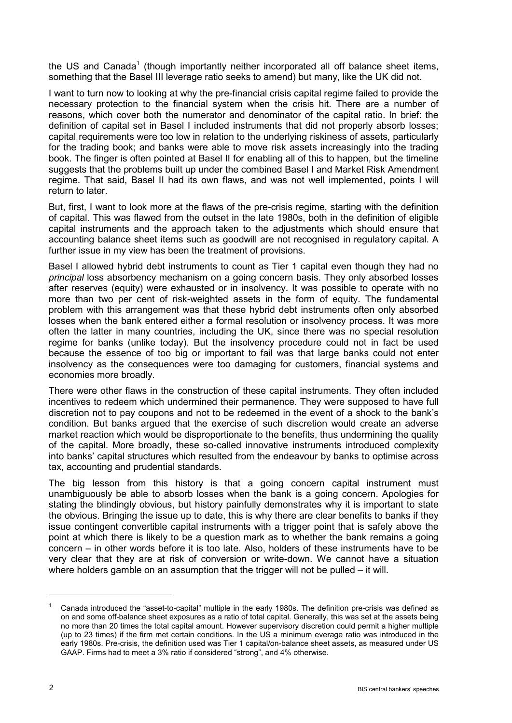the US and Canada<sup>1</sup> (though importantly neither incorporated all off balance sheet items, something that the Basel III leverage ratio seeks to amend) but many, like the UK did not.

I want to turn now to looking at why the pre-financial crisis capital regime failed to provide the necessary protection to the financial system when the crisis hit. There are a number of reasons, which cover both the numerator and denominator of the capital ratio. In brief: the definition of capital set in Basel I included instruments that did not properly absorb losses; capital requirements were too low in relation to the underlying riskiness of assets, particularly for the trading book; and banks were able to move risk assets increasingly into the trading book. The finger is often pointed at Basel II for enabling all of this to happen, but the timeline suggests that the problems built up under the combined Basel I and Market Risk Amendment regime. That said, Basel II had its own flaws, and was not well implemented, points I will return to later.

But, first, I want to look more at the flaws of the pre-crisis regime, starting with the definition of capital. This was flawed from the outset in the late 1980s, both in the definition of eligible capital instruments and the approach taken to the adjustments which should ensure that accounting balance sheet items such as goodwill are not recognised in regulatory capital. A further issue in my view has been the treatment of provisions.

Basel I allowed hybrid debt instruments to count as Tier 1 capital even though they had no *principal* loss absorbency mechanism on a going concern basis. They only absorbed losses after reserves (equity) were exhausted or in insolvency. It was possible to operate with no more than two per cent of risk-weighted assets in the form of equity. The fundamental problem with this arrangement was that these hybrid debt instruments often only absorbed losses when the bank entered either a formal resolution or insolvency process. It was more often the latter in many countries, including the UK, since there was no special resolution regime for banks (unlike today). But the insolvency procedure could not in fact be used because the essence of too big or important to fail was that large banks could not enter insolvency as the consequences were too damaging for customers, financial systems and economies more broadly.

There were other flaws in the construction of these capital instruments. They often included incentives to redeem which undermined their permanence. They were supposed to have full discretion not to pay coupons and not to be redeemed in the event of a shock to the bank's condition. But banks argued that the exercise of such discretion would create an adverse market reaction which would be disproportionate to the benefits, thus undermining the quality of the capital. More broadly, these so-called innovative instruments introduced complexity into banks' capital structures which resulted from the endeavour by banks to optimise across tax, accounting and prudential standards.

The big lesson from this history is that a going concern capital instrument must unambiguously be able to absorb losses when the bank is a going concern. Apologies for stating the blindingly obvious, but history painfully demonstrates why it is important to state the obvious. Bringing the issue up to date, this is why there are clear benefits to banks if they issue contingent convertible capital instruments with a trigger point that is safely above the point at which there is likely to be a question mark as to whether the bank remains a going concern – in other words before it is too late. Also, holders of these instruments have to be very clear that they are at risk of conversion or write-down. We cannot have a situation where holders gamble on an assumption that the trigger will not be pulled  $-$  it will.

-

<sup>1</sup> Canada introduced the "asset-to-capital" multiple in the early 1980s. The definition pre-crisis was defined as on and some off-balance sheet exposures as a ratio of total capital. Generally, this was set at the assets being no more than 20 times the total capital amount. However supervisory discretion could permit a higher multiple (up to 23 times) if the firm met certain conditions. In the US a minimum everage ratio was introduced in the early 1980s. Pre-crisis, the definition used was Tier 1 capital/on-balance sheet assets, as measured under US GAAP. Firms had to meet a 3% ratio if considered "strong", and 4% otherwise.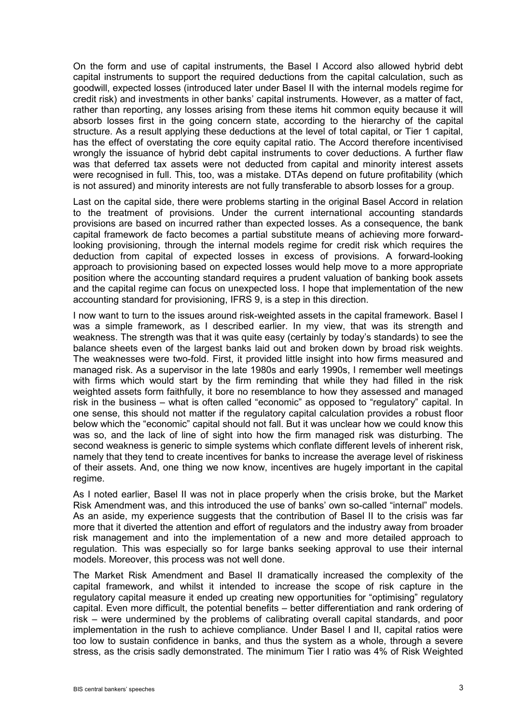On the form and use of capital instruments, the Basel I Accord also allowed hybrid debt capital instruments to support the required deductions from the capital calculation, such as goodwill, expected losses (introduced later under Basel II with the internal models regime for credit risk) and investments in other banks' capital instruments. However, as a matter of fact, rather than reporting, any losses arising from these items hit common equity because it will absorb losses first in the going concern state, according to the hierarchy of the capital structure. As a result applying these deductions at the level of total capital, or Tier 1 capital, has the effect of overstating the core equity capital ratio. The Accord therefore incentivised wrongly the issuance of hybrid debt capital instruments to cover deductions. A further flaw was that deferred tax assets were not deducted from capital and minority interest assets were recognised in full. This, too, was a mistake. DTAs depend on future profitability (which is not assured) and minority interests are not fully transferable to absorb losses for a group.

Last on the capital side, there were problems starting in the original Basel Accord in relation to the treatment of provisions. Under the current international accounting standards provisions are based on incurred rather than expected losses. As a consequence, the bank capital framework de facto becomes a partial substitute means of achieving more forwardlooking provisioning, through the internal models regime for credit risk which requires the deduction from capital of expected losses in excess of provisions. A forward-looking approach to provisioning based on expected losses would help move to a more appropriate position where the accounting standard requires a prudent valuation of banking book assets and the capital regime can focus on unexpected loss. I hope that implementation of the new accounting standard for provisioning, IFRS 9, is a step in this direction.

I now want to turn to the issues around risk-weighted assets in the capital framework. Basel I was a simple framework, as I described earlier. In my view, that was its strength and weakness. The strength was that it was quite easy (certainly by today's standards) to see the balance sheets even of the largest banks laid out and broken down by broad risk weights. The weaknesses were two-fold. First, it provided little insight into how firms measured and managed risk. As a supervisor in the late 1980s and early 1990s, I remember well meetings with firms which would start by the firm reminding that while they had filled in the risk weighted assets form faithfully, it bore no resemblance to how they assessed and managed risk in the business – what is often called "economic" as opposed to "regulatory" capital. In one sense, this should not matter if the regulatory capital calculation provides a robust floor below which the "economic" capital should not fall. But it was unclear how we could know this was so, and the lack of line of sight into how the firm managed risk was disturbing. The second weakness is generic to simple systems which conflate different levels of inherent risk, namely that they tend to create incentives for banks to increase the average level of riskiness of their assets. And, one thing we now know, incentives are hugely important in the capital regime.

As I noted earlier, Basel II was not in place properly when the crisis broke, but the Market Risk Amendment was, and this introduced the use of banks' own so-called "internal" models. As an aside, my experience suggests that the contribution of Basel II to the crisis was far more that it diverted the attention and effort of regulators and the industry away from broader risk management and into the implementation of a new and more detailed approach to regulation. This was especially so for large banks seeking approval to use their internal models. Moreover, this process was not well done.

The Market Risk Amendment and Basel II dramatically increased the complexity of the capital framework, and whilst it intended to increase the scope of risk capture in the regulatory capital measure it ended up creating new opportunities for "optimising" regulatory capital. Even more difficult, the potential benefits – better differentiation and rank ordering of risk – were undermined by the problems of calibrating overall capital standards, and poor implementation in the rush to achieve compliance. Under Basel I and II, capital ratios were too low to sustain confidence in banks, and thus the system as a whole, through a severe stress, as the crisis sadly demonstrated. The minimum Tier I ratio was 4% of Risk Weighted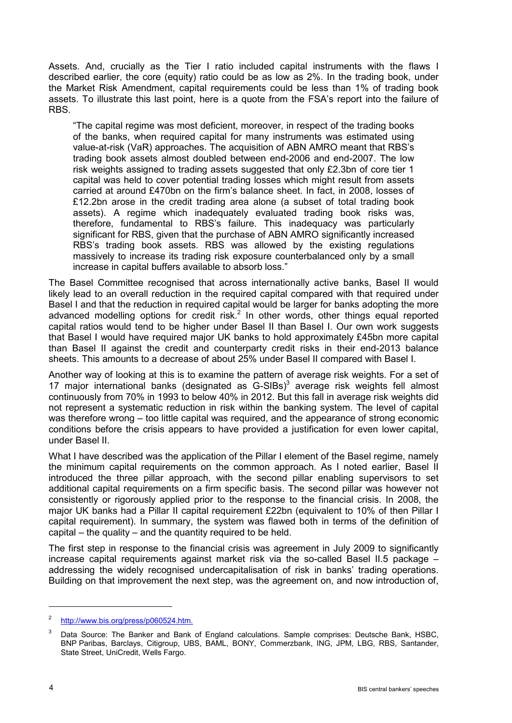Assets. And, crucially as the Tier I ratio included capital instruments with the flaws I described earlier, the core (equity) ratio could be as low as 2%. In the trading book, under the Market Risk Amendment, capital requirements could be less than 1% of trading book assets. To illustrate this last point, here is a quote from the FSA's report into the failure of RBS.

"The capital regime was most deficient, moreover, in respect of the trading books of the banks, when required capital for many instruments was estimated using value-at-risk (VaR) approaches. The acquisition of ABN AMRO meant that RBS's trading book assets almost doubled between end-2006 and end-2007. The low risk weights assigned to trading assets suggested that only £2.3bn of core tier 1 capital was held to cover potential trading losses which might result from assets carried at around £470bn on the firm's balance sheet. In fact, in 2008, losses of £12.2bn arose in the credit trading area alone (a subset of total trading book assets). A regime which inadequately evaluated trading book risks was, therefore, fundamental to RBS's failure. This inadequacy was particularly significant for RBS, given that the purchase of ABN AMRO significantly increased RBS's trading book assets. RBS was allowed by the existing regulations massively to increase its trading risk exposure counterbalanced only by a small increase in capital buffers available to absorb loss."

The Basel Committee recognised that across internationally active banks, Basel II would likely lead to an overall reduction in the required capital compared with that required under Basel I and that the reduction in required capital would be larger for banks adopting the more advanced modelling options for credit risk.<sup>2</sup> In other words, other things equal reported capital ratios would tend to be higher under Basel II than Basel I. Our own work suggests that Basel I would have required major UK banks to hold approximately £45bn more capital than Basel II against the credit and counterparty credit risks in their end-2013 balance sheets. This amounts to a decrease of about 25% under Basel II compared with Basel I.

Another way of looking at this is to examine the pattern of average risk weights. For a set of 17 major international banks (designated as  $G-SIBs$ )<sup>3</sup> average risk weights fell almost continuously from 70% in 1993 to below 40% in 2012. But this fall in average risk weights did not represent a systematic reduction in risk within the banking system. The level of capital was therefore wrong – too little capital was required, and the appearance of strong economic conditions before the crisis appears to have provided a justification for even lower capital, under Basel II.

What I have described was the application of the Pillar I element of the Basel regime, namely the minimum capital requirements on the common approach. As I noted earlier, Basel II introduced the three pillar approach, with the second pillar enabling supervisors to set additional capital requirements on a firm specific basis. The second pillar was however not consistently or rigorously applied prior to the response to the financial crisis. In 2008, the major UK banks had a Pillar II capital requirement £22bn (equivalent to 10% of then Pillar I capital requirement). In summary, the system was flawed both in terms of the definition of capital – the quality – and the quantity required to be held.

The first step in response to the financial crisis was agreement in July 2009 to significantly increase capital requirements against market risk via the so-called Basel II.5 package – addressing the widely recognised undercapitalisation of risk in banks' trading operations. Building on that improvement the next step, was the agreement on, and now introduction of,

-

<sup>2</sup> [http://www.bis.org/press/p060524.htm.](http://www.bis.org/press/p060524.htm)

Data Source: The Banker and Bank of England calculations. Sample comprises: Deutsche Bank, HSBC, BNP Paribas, Barclays, Citigroup, UBS, BAML, BONY, Commerzbank, ING, JPM, LBG, RBS, Santander, State Street, UniCredit, Wells Fargo.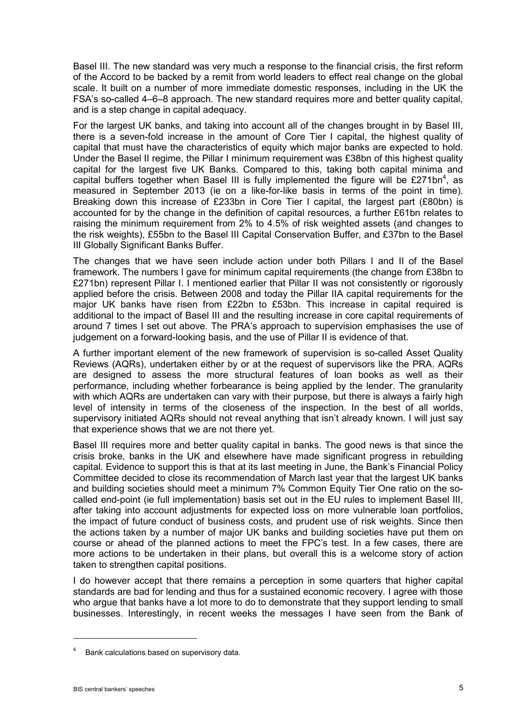Basel III. The new standard was very much a response to the financial crisis, the first reform of the Accord to be backed by a remit from world leaders to effect real change on the global scale. It built on a number of more immediate domestic responses, including in the UK the FSA's so-called 4–6–8 approach. The new standard requires more and better quality capital, and is a step change in capital adequacy.

For the largest UK banks, and taking into account all of the changes brought in by Basel III, there is a seven-fold increase in the amount of Core Tier I capital, the highest quality of capital that must have the characteristics of equity which major banks are expected to hold. Under the Basel II regime, the Pillar I minimum requirement was £38bn of this highest quality capital for the largest five UK Banks. Compared to this, taking both capital minima and capital buffers together when Basel III is fully implemented the figure will be £271bn<sup>4</sup>, as measured in September 2013 (ie on a like-for-like basis in terms of the point in time). Breaking down this increase of £233bn in Core Tier I capital, the largest part (£80bn) is accounted for by the change in the definition of capital resources, a further £61bn relates to raising the minimum requirement from 2% to 4.5% of risk weighted assets (and changes to the risk weights), £55bn to the Basel III Capital Conservation Buffer, and £37bn to the Basel III Globally Significant Banks Buffer.

The changes that we have seen include action under both Pillars I and II of the Basel framework. The numbers I gave for minimum capital requirements (the change from £38bn to £271bn) represent Pillar I. I mentioned earlier that Pillar II was not consistently or rigorously applied before the crisis. Between 2008 and today the Pillar IIA capital requirements for the major UK banks have risen from £22bn to £53bn. This increase in capital required is additional to the impact of Basel III and the resulting increase in core capital requirements of around 7 times I set out above. The PRA's approach to supervision emphasises the use of judgement on a forward-looking basis, and the use of Pillar II is evidence of that.

A further important element of the new framework of supervision is so-called Asset Quality Reviews (AQRs), undertaken either by or at the request of supervisors like the PRA. AQRs are designed to assess the more structural features of loan books as well as their performance, including whether forbearance is being applied by the lender. The granularity with which AQRs are undertaken can vary with their purpose, but there is always a fairly high level of intensity in terms of the closeness of the inspection. In the best of all worlds, supervisory initiated AQRs should not reveal anything that isn't already known. I will just say that experience shows that we are not there yet.

Basel III requires more and better quality capital in banks. The good news is that since the crisis broke, banks in the UK and elsewhere have made significant progress in rebuilding capital. Evidence to support this is that at its last meeting in June, the Bank's Financial Policy Committee decided to close its recommendation of March last year that the largest UK banks and building societies should meet a minimum 7% Common Equity Tier One ratio on the socalled end-point (ie full implementation) basis set out in the EU rules to implement Basel III, after taking into account adjustments for expected loss on more vulnerable loan portfolios, the impact of future conduct of business costs, and prudent use of risk weights. Since then the actions taken by a number of major UK banks and building societies have put them on course or ahead of the planned actions to meet the FPC's test. In a few cases, there are more actions to be undertaken in their plans, but overall this is a welcome story of action taken to strengthen capital positions.

I do however accept that there remains a perception in some quarters that higher capital standards are bad for lending and thus for a sustained economic recovery. I agree with those who argue that banks have a lot more to do to demonstrate that they support lending to small businesses. Interestingly, in recent weeks the messages I have seen from the Bank of

<u>.</u>

Bank calculations based on supervisory data.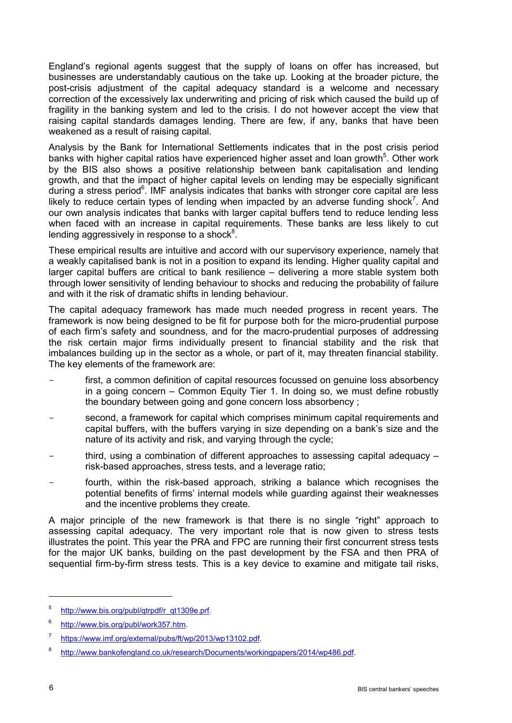England's regional agents suggest that the supply of loans on offer has increased, but businesses are understandably cautious on the take up. Looking at the broader picture, the post-crisis adjustment of the capital adequacy standard is a welcome and necessary correction of the excessively lax underwriting and pricing of risk which caused the build up of fragility in the banking system and led to the crisis. I do not however accept the view that raising capital standards damages lending. There are few, if any, banks that have been weakened as a result of raising capital.

Analysis by the Bank for International Settlements indicates that in the post crisis period banks with higher capital ratios have experienced higher asset and loan growth<sup>5</sup>. Other work by the BIS also shows a positive relationship between bank capitalisation and lending growth, and that the impact of higher capital levels on lending may be especially significant during a stress period<sup>6</sup>. IMF analysis indicates that banks with stronger core capital are less likely to reduce certain types of lending when impacted by an adverse funding shock<sup>7</sup>. And our own analysis indicates that banks with larger capital buffers tend to reduce lending less when faced with an increase in capital requirements. These banks are less likely to cut lending aggressively in response to a shock $^8$ .

These empirical results are intuitive and accord with our supervisory experience, namely that a weakly capitalised bank is not in a position to expand its lending. Higher quality capital and larger capital buffers are critical to bank resilience – delivering a more stable system both through lower sensitivity of lending behaviour to shocks and reducing the probability of failure and with it the risk of dramatic shifts in lending behaviour.

The capital adequacy framework has made much needed progress in recent years. The framework is now being designed to be fit for purpose both for the micro-prudential purpose of each firm's safety and soundness, and for the macro-prudential purposes of addressing the risk certain major firms individually present to financial stability and the risk that imbalances building up in the sector as a whole, or part of it, may threaten financial stability. The key elements of the framework are:

- first, a common definition of capital resources focussed on genuine loss absorbency in a going concern – Common Equity Tier 1. In doing so, we must define robustly the boundary between going and gone concern loss absorbency ;
- second, a framework for capital which comprises minimum capital requirements and capital buffers, with the buffers varying in size depending on a bank's size and the nature of its activity and risk, and varying through the cycle;
- third, using a combination of different approaches to assessing capital adequacy  $$ risk-based approaches, stress tests, and a leverage ratio;
- fourth, within the risk-based approach, striking a balance which recognises the potential benefits of firms' internal models while guarding against their weaknesses and the incentive problems they create.

A major principle of the new framework is that there is no single "right" approach to assessing capital adequacy. The very important role that is now given to stress tests illustrates the point. This year the PRA and FPC are running their first concurrent stress tests for the major UK banks, building on the past development by the FSA and then PRA of sequential firm-by-firm stress tests. This is a key device to examine and mitigate tail risks,

-

<sup>5</sup> [http://www.bis.org/publ/qtrpdf/r\\_qt1309e.prf.](http://www.bis.org/publ/qtrpdf/r_qt1309e.prf)

<sup>6</sup> [http://www.bis.org/publ/work357.htm.](http://www.bis.org/publ/work357.htm)

<sup>7</sup> https[://www.imf.org/external/pubs/ft/wp/2013/wp13102.pdf.](http://www.imf.org/external/pubs/ft/wp/2013/wp13102.pdf)

<sup>8</sup> [http://www.bankofengland.co.uk/research/Documents/workingpapers/2014/wp486.pdf.](http://www.bankofengland.co.uk/research/Documents/workingpapers/2014/wp486.pdf)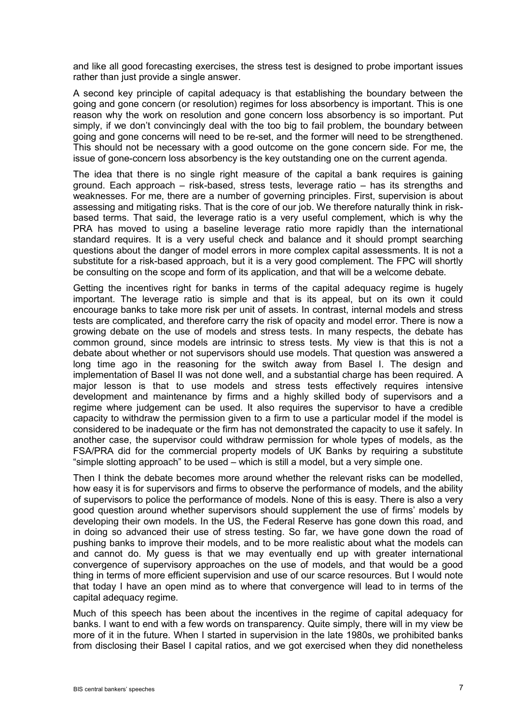and like all good forecasting exercises, the stress test is designed to probe important issues rather than just provide a single answer.

A second key principle of capital adequacy is that establishing the boundary between the going and gone concern (or resolution) regimes for loss absorbency is important. This is one reason why the work on resolution and gone concern loss absorbency is so important. Put simply, if we don't convincingly deal with the too big to fail problem, the boundary between going and gone concerns will need to be re-set, and the former will need to be strengthened. This should not be necessary with a good outcome on the gone concern side. For me, the issue of gone-concern loss absorbency is the key outstanding one on the current agenda.

The idea that there is no single right measure of the capital a bank requires is gaining ground. Each approach – risk-based, stress tests, leverage ratio – has its strengths and weaknesses. For me, there are a number of governing principles. First, supervision is about assessing and mitigating risks. That is the core of our job. We therefore naturally think in riskbased terms. That said, the leverage ratio is a very useful complement, which is why the PRA has moved to using a baseline leverage ratio more rapidly than the international standard requires. It is a very useful check and balance and it should prompt searching questions about the danger of model errors in more complex capital assessments. It is not a substitute for a risk-based approach, but it is a very good complement. The FPC will shortly be consulting on the scope and form of its application, and that will be a welcome debate.

Getting the incentives right for banks in terms of the capital adequacy regime is hugely important. The leverage ratio is simple and that is its appeal, but on its own it could encourage banks to take more risk per unit of assets. In contrast, internal models and stress tests are complicated, and therefore carry the risk of opacity and model error. There is now a growing debate on the use of models and stress tests. In many respects, the debate has common ground, since models are intrinsic to stress tests. My view is that this is not a debate about whether or not supervisors should use models. That question was answered a long time ago in the reasoning for the switch away from Basel I. The design and implementation of Basel II was not done well, and a substantial charge has been required. A major lesson is that to use models and stress tests effectively requires intensive development and maintenance by firms and a highly skilled body of supervisors and a regime where judgement can be used. It also requires the supervisor to have a credible capacity to withdraw the permission given to a firm to use a particular model if the model is considered to be inadequate or the firm has not demonstrated the capacity to use it safely. In another case, the supervisor could withdraw permission for whole types of models, as the FSA/PRA did for the commercial property models of UK Banks by requiring a substitute "simple slotting approach" to be used – which is still a model, but a very simple one.

Then I think the debate becomes more around whether the relevant risks can be modelled, how easy it is for supervisors and firms to observe the performance of models, and the ability of supervisors to police the performance of models. None of this is easy. There is also a very good question around whether supervisors should supplement the use of firms' models by developing their own models. In the US, the Federal Reserve has gone down this road, and in doing so advanced their use of stress testing. So far, we have gone down the road of pushing banks to improve their models, and to be more realistic about what the models can and cannot do. My guess is that we may eventually end up with greater international convergence of supervisory approaches on the use of models, and that would be a good thing in terms of more efficient supervision and use of our scarce resources. But I would note that today I have an open mind as to where that convergence will lead to in terms of the capital adequacy regime.

Much of this speech has been about the incentives in the regime of capital adequacy for banks. I want to end with a few words on transparency. Quite simply, there will in my view be more of it in the future. When I started in supervision in the late 1980s, we prohibited banks from disclosing their Basel I capital ratios, and we got exercised when they did nonetheless